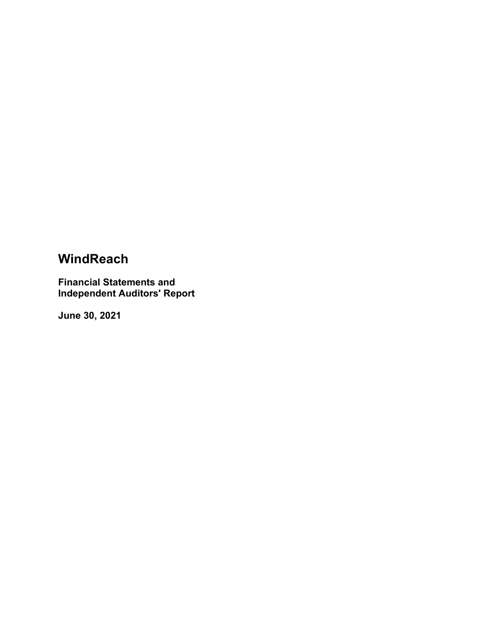# **WindReach**

**Financial Statements and Independent Auditors' Report**

**June 30, 2021**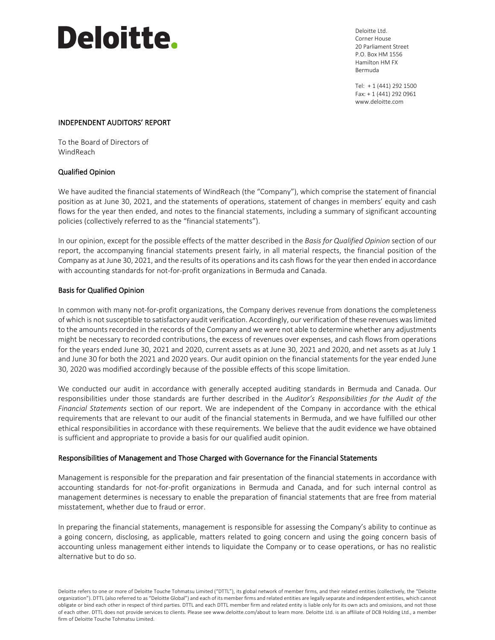# Deloitte.

Deloitte Ltd. Corner House 20 Parliament Street P.O. Box HM 1556 Hamilton HM FX Bermuda

Tel: + 1 (441) 292 1500 Fax: + 1 (441) 292 0961 www.deloitte.com

# INDEPENDENT AUDITORS' REPORT

To the Board of Directors of WindReach

## Qualified Opinion

We have audited the financial statements of WindReach (the "Company"), which comprise the statement of financial position as at June 30, 2021, and the statements of operations, statement of changes in members' equity and cash flows for the year then ended, and notes to the financial statements, including a summary of significant accounting policies (collectively referred to as the "financial statements").

In our opinion, except for the possible effects of the matter described in the *Basis for Qualified Opinion* section of our report, the accompanying financial statements present fairly, in all material respects, the financial position of the Company as at June 30, 2021, and the results of its operations and its cash flows for the year then ended in accordance with accounting standards for not-for-profit organizations in Bermuda and Canada.

## Basis for Qualified Opinion

In common with many not-for-profit organizations, the Company derives revenue from donations the completeness of which is not susceptible to satisfactory audit verification. Accordingly, our verification of these revenues was limited to the amounts recorded in the records of the Company and we were not able to determine whether any adjustments might be necessary to recorded contributions, the excess of revenues over expenses, and cash flows from operations for the years ended June 30, 2021 and 2020, current assets as at June 30, 2021 and 2020, and net assets as at July 1 and June 30 for both the 2021 and 2020 years. Our audit opinion on the financial statements for the year ended June 30, 2020 was modified accordingly because of the possible effects of this scope limitation.

We conducted our audit in accordance with generally accepted auditing standards in Bermuda and Canada. Our responsibilities under those standards are further described in the *Auditor's Responsibilities for the Audit of the Financial Statements* section of our report. We are independent of the Company in accordance with the ethical requirements that are relevant to our audit of the financial statements in Bermuda, and we have fulfilled our other ethical responsibilities in accordance with these requirements. We believe that the audit evidence we have obtained is sufficient and appropriate to provide a basis for our qualified audit opinion.

## Responsibilities of Management and Those Charged with Governance for the Financial Statements

Management is responsible for the preparation and fair presentation of the financial statements in accordance with accounting standards for not-for-profit organizations in Bermuda and Canada, and for such internal control as management determines is necessary to enable the preparation of financial statements that are free from material misstatement, whether due to fraud or error.

In preparing the financial statements, management is responsible for assessing the Company's ability to continue as a going concern, disclosing, as applicable, matters related to going concern and using the going concern basis of accounting unless management either intends to liquidate the Company or to cease operations, or has no realistic alternative but to do so.

Deloitte refers to one or more of Deloitte Touche Tohmatsu Limited ("DTTL"), its global network of member firms, and their related entities (collectively, the "Deloitte organization"). DTTL (also referred to as "Deloitte Global") and each of its member firms and related entities are legally separate and independent entities, which cannot obligate or bind each other in respect of third parties. DTTL and each DTTL member firm and related entity is liable only for its own acts and omissions, and not those of each other. DTTL does not provide services to clients. Please see www.deloitte.com/about to learn more. Deloitte Ltd. is an affiliate of DCB Holding Ltd., a member firm of Deloitte Touche Tohmatsu Limited.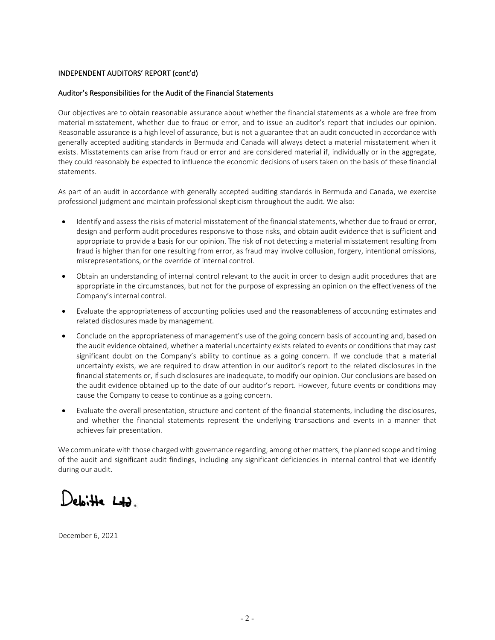## INDEPENDENT AUDITORS' REPORT (cont'd)

#### Auditor's Responsibilities for the Audit of the Financial Statements

Our objectives are to obtain reasonable assurance about whether the financial statements as a whole are free from material misstatement, whether due to fraud or error, and to issue an auditor's report that includes our opinion. Reasonable assurance is a high level of assurance, but is not a guarantee that an audit conducted in accordance with generally accepted auditing standards in Bermuda and Canada will always detect a material misstatement when it exists. Misstatements can arise from fraud or error and are considered material if, individually or in the aggregate, they could reasonably be expected to influence the economic decisions of users taken on the basis of these financial statements.

As part of an audit in accordance with generally accepted auditing standards in Bermuda and Canada, we exercise professional judgment and maintain professional skepticism throughout the audit. We also:

- Identify and assess the risks of material misstatement of the financial statements, whether due to fraud or error, design and perform audit procedures responsive to those risks, and obtain audit evidence that is sufficient and appropriate to provide a basis for our opinion. The risk of not detecting a material misstatement resulting from fraud is higher than for one resulting from error, as fraud may involve collusion, forgery, intentional omissions, misrepresentations, or the override of internal control.
- Obtain an understanding of internal control relevant to the audit in order to design audit procedures that are appropriate in the circumstances, but not for the purpose of expressing an opinion on the effectiveness of the Company's internal control.
- Evaluate the appropriateness of accounting policies used and the reasonableness of accounting estimates and related disclosures made by management.
- Conclude on the appropriateness of management's use of the going concern basis of accounting and, based on the audit evidence obtained, whether a material uncertainty exists related to events or conditions that may cast significant doubt on the Company's ability to continue as a going concern. If we conclude that a material uncertainty exists, we are required to draw attention in our auditor's report to the related disclosures in the financial statements or, if such disclosures are inadequate, to modify our opinion. Our conclusions are based on the audit evidence obtained up to the date of our auditor's report. However, future events or conditions may cause the Company to cease to continue as a going concern.
- Evaluate the overall presentation, structure and content of the financial statements, including the disclosures, and whether the financial statements represent the underlying transactions and events in a manner that achieves fair presentation.

We communicate with those charged with governance regarding, among other matters, the planned scope and timing of the audit and significant audit findings, including any significant deficiencies in internal control that we identify during our audit.

 $Deb:He$   $LH2$ .

December 6, 2021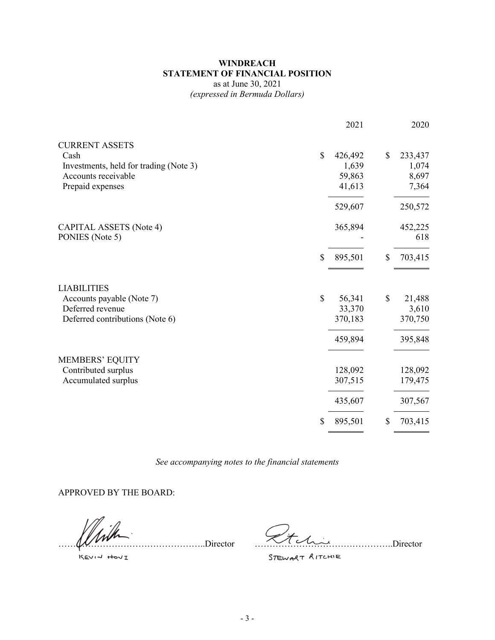# **WINDREACH STATEMENT OF FINANCIAL POSITION** as at June 30, 2021

*(expressed in Bermuda Dollars)*

|                                        | 2021          |              | 2020    |
|----------------------------------------|---------------|--------------|---------|
| <b>CURRENT ASSETS</b>                  |               |              |         |
| Cash                                   | \$<br>426,492 | \$           | 233,437 |
| Investments, held for trading (Note 3) | 1,639         |              | 1,074   |
| Accounts receivable                    | 59,863        |              | 8,697   |
| Prepaid expenses                       | 41,613        |              | 7,364   |
|                                        | 529,607       |              | 250,572 |
| CAPITAL ASSETS (Note 4)                | 365,894       |              | 452,225 |
| PONIES (Note 5)                        |               |              | 618     |
|                                        | \$<br>895,501 | \$           | 703,415 |
| <b>LIABILITIES</b>                     |               |              |         |
| Accounts payable (Note 7)              | \$<br>56,341  | $\mathbb{S}$ | 21,488  |
| Deferred revenue                       | 33,370        |              | 3,610   |
| Deferred contributions (Note 6)        | 370,183       |              | 370,750 |
|                                        | 459,894       |              | 395,848 |
| MEMBERS' EQUITY                        |               |              |         |
| Contributed surplus                    | 128,092       |              | 128,092 |
| Accumulated surplus                    | 307,515       |              | 179,475 |
|                                        | 435,607       |              | 307,567 |
|                                        | \$<br>895,501 | \$           | 703,415 |
|                                        |               |              |         |

*See accompanying notes to the financial statements*

APPROVED BY THE BOARD:

…………………………………………..Director ………………………………………..Director

STEWART RITCHIE

KEVIN HOVI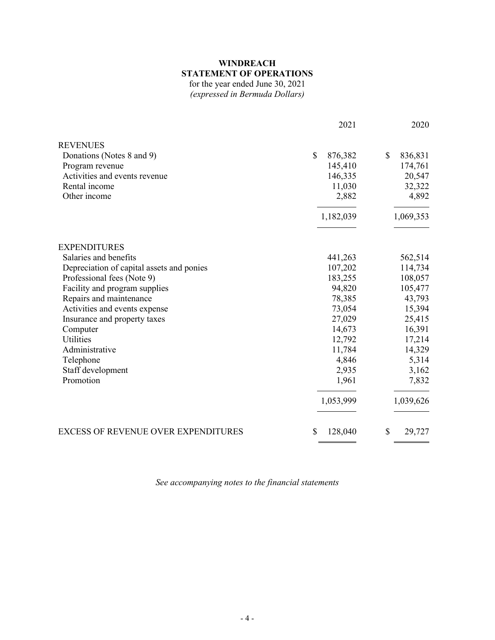# **WINDREACH STATEMENT OF OPERATIONS** for the year ended June 30, 2021

*(expressed in Bermuda Dollars)*

|                                            | 2021          | 2020                    |
|--------------------------------------------|---------------|-------------------------|
| <b>REVENUES</b>                            |               |                         |
| Donations (Notes 8 and 9)                  | \$<br>876,382 | $\mathbb{S}$<br>836,831 |
| Program revenue                            | 145,410       | 174,761                 |
| Activities and events revenue              | 146,335       | 20,547                  |
| Rental income                              | 11,030        | 32,322                  |
| Other income                               | 2,882         | 4,892                   |
|                                            | 1,182,039     | 1,069,353               |
| <b>EXPENDITURES</b>                        |               |                         |
| Salaries and benefits                      | 441,263       | 562,514                 |
| Depreciation of capital assets and ponies  | 107,202       | 114,734                 |
| Professional fees (Note 9)                 | 183,255       | 108,057                 |
| Facility and program supplies              | 94,820        | 105,477                 |
| Repairs and maintenance                    | 78,385        | 43,793                  |
| Activities and events expense              | 73,054        | 15,394                  |
| Insurance and property taxes               | 27,029        | 25,415                  |
| Computer                                   | 14,673        | 16,391                  |
| <b>Utilities</b>                           | 12,792        | 17,214                  |
| Administrative                             | 11,784        | 14,329                  |
| Telephone                                  | 4,846         | 5,314                   |
| Staff development                          | 2,935         | 3,162                   |
| Promotion                                  | 1,961         | 7,832                   |
|                                            | 1,053,999     | 1,039,626               |
| <b>EXCESS OF REVENUE OVER EXPENDITURES</b> | \$<br>128,040 | \$<br>29,727            |

*See accompanying notes to the financial statements*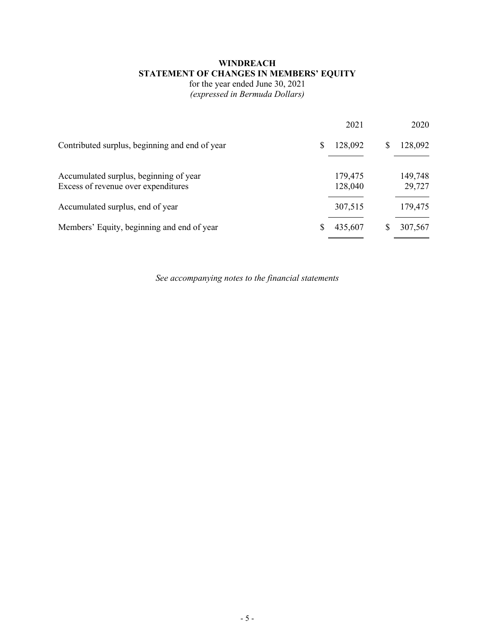# **WINDREACH STATEMENT OF CHANGES IN MEMBERS' EQUITY**

for the year ended June 30, 2021

*(expressed in Bermuda Dollars)*

|                                                                               | 2021               |   | 2020              |
|-------------------------------------------------------------------------------|--------------------|---|-------------------|
| Contributed surplus, beginning and end of year                                | 128,092            | S | 128,092           |
| Accumulated surplus, beginning of year<br>Excess of revenue over expenditures | 179,475<br>128,040 |   | 149,748<br>29,727 |
| Accumulated surplus, end of year                                              | 307,515            |   | 179,475           |
| Members' Equity, beginning and end of year                                    | 435,607            |   | 307,567           |

*See accompanying notes to the financial statements*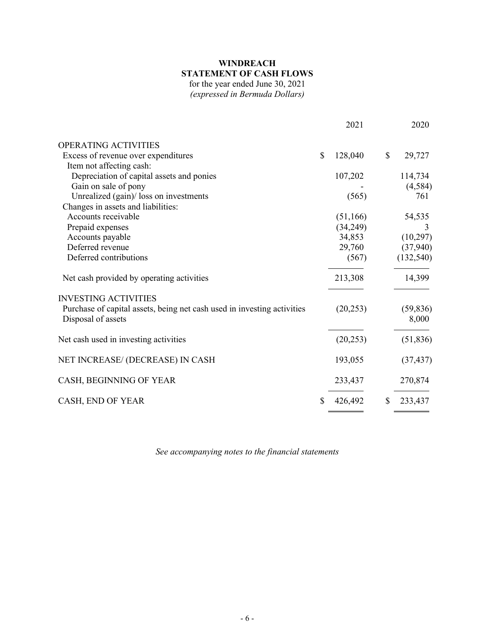# **WINDREACH STATEMENT OF CASH FLOWS**

for the year ended June 30, 2021 *(expressed in Bermuda Dollars)*

| OPERATING ACTIVITIES                                                                                                         |           |                    |
|------------------------------------------------------------------------------------------------------------------------------|-----------|--------------------|
| $\mathbb{S}$<br>Excess of revenue over expenditures                                                                          | 128,040   | \$<br>29,727       |
| Item not affecting cash:                                                                                                     |           |                    |
| Depreciation of capital assets and ponies                                                                                    | 107,202   | 114,734            |
| Gain on sale of pony                                                                                                         |           | (4, 584)           |
| Unrealized (gain)/ loss on investments                                                                                       | (565)     | 761                |
| Changes in assets and liabilities:                                                                                           |           |                    |
| Accounts receivable                                                                                                          | (51,166)  | 54,535             |
| Prepaid expenses                                                                                                             | (34,249)  |                    |
| Accounts payable                                                                                                             | 34,853    | (10,297)           |
| Deferred revenue                                                                                                             | 29,760    | (37, 940)          |
| Deferred contributions                                                                                                       | (567)     | (132, 540)         |
| Net cash provided by operating activities                                                                                    | 213,308   | 14,399             |
| <b>INVESTING ACTIVITIES</b><br>Purchase of capital assets, being net cash used in investing activities<br>Disposal of assets | (20, 253) | (59, 836)<br>8,000 |
| Net cash used in investing activities                                                                                        | (20, 253) | (51, 836)          |
| NET INCREASE/ (DECREASE) IN CASH                                                                                             | 193,055   | (37, 437)          |
| CASH, BEGINNING OF YEAR                                                                                                      | 233,437   | 270,874            |
| CASH, END OF YEAR<br>S                                                                                                       | 426,492   | \$<br>233,437      |

*See accompanying notes to the financial statements*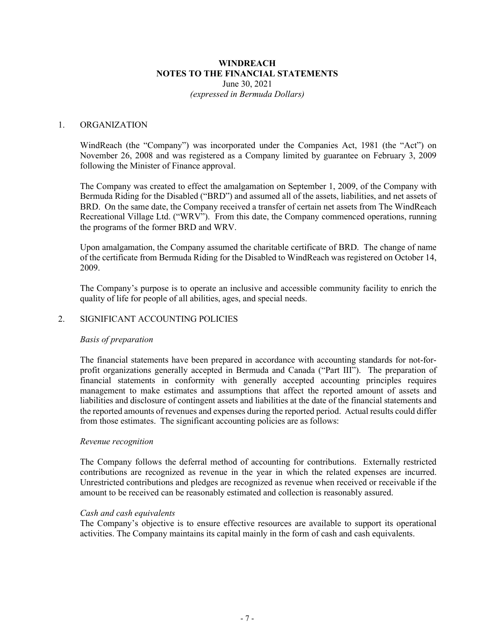# **WINDREACH NOTES TO THE FINANCIAL STATEMENTS** June 30, 2021 *(expressed in Bermuda Dollars)*

# 1. ORGANIZATION

WindReach (the "Company") was incorporated under the Companies Act, 1981 (the "Act") on November 26, 2008 and was registered as a Company limited by guarantee on February 3, 2009 following the Minister of Finance approval.

The Company was created to effect the amalgamation on September 1, 2009, of the Company with Bermuda Riding for the Disabled ("BRD") and assumed all of the assets, liabilities, and net assets of BRD. On the same date, the Company received a transfer of certain net assets from The WindReach Recreational Village Ltd. ("WRV"). From this date, the Company commenced operations, running the programs of the former BRD and WRV.

Upon amalgamation, the Company assumed the charitable certificate of BRD. The change of name of the certificate from Bermuda Riding for the Disabled to WindReach was registered on October 14, 2009.

The Company's purpose is to operate an inclusive and accessible community facility to enrich the quality of life for people of all abilities, ages, and special needs.

# 2. SIGNIFICANT ACCOUNTING POLICIES

## *Basis of preparation*

The financial statements have been prepared in accordance with accounting standards for not-forprofit organizations generally accepted in Bermuda and Canada ("Part III"). The preparation of financial statements in conformity with generally accepted accounting principles requires management to make estimates and assumptions that affect the reported amount of assets and liabilities and disclosure of contingent assets and liabilities at the date of the financial statements and the reported amounts of revenues and expenses during the reported period. Actual results could differ from those estimates. The significant accounting policies are as follows:

## *Revenue recognition*

The Company follows the deferral method of accounting for contributions. Externally restricted contributions are recognized as revenue in the year in which the related expenses are incurred. Unrestricted contributions and pledges are recognized as revenue when received or receivable if the amount to be received can be reasonably estimated and collection is reasonably assured.

## *Cash and cash equivalents*

The Company's objective is to ensure effective resources are available to support its operational activities. The Company maintains its capital mainly in the form of cash and cash equivalents.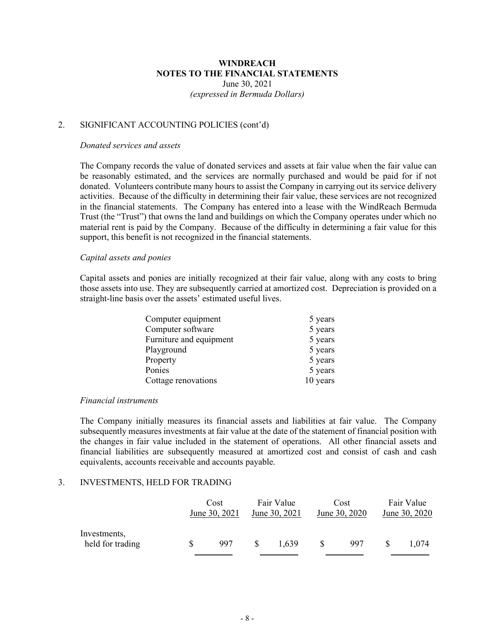# **WINDREACH NOTES TO THE FINANCIAL STATEMENTS** June 30, 2021 *(expressed in Bermuda Dollars)*

# 2. SIGNIFICANT ACCOUNTING POLICIES (cont'd)

## *Donated services and assets*

The Company records the value of donated services and assets at fair value when the fair value can be reasonably estimated, and the services are normally purchased and would be paid for if not donated. Volunteers contribute many hours to assist the Company in carrying out its service delivery activities. Because of the difficulty in determining their fair value, these services are not recognized in the financial statements. The Company has entered into a lease with the WindReach Bermuda Trust (the "Trust") that owns the land and buildings on which the Company operates under which no material rent is paid by the Company. Because of the difficulty in determining a fair value for this support, this benefit is not recognized in the financial statements.

# *Capital assets and ponies*

Capital assets and ponies are initially recognized at their fair value, along with any costs to bring those assets into use. They are subsequently carried at amortized cost. Depreciation is provided on a straight-line basis over the assets' estimated useful lives.

| Computer equipment      | 5 years  |
|-------------------------|----------|
| Computer software       | 5 years  |
| Furniture and equipment | 5 years  |
| Playground              | 5 years  |
| Property                | 5 years  |
| Ponies                  | 5 years  |
| Cottage renovations     | 10 years |

## *Financial instruments*

The Company initially measures its financial assets and liabilities at fair value. The Company subsequently measures investments at fair value at the date of the statement of financial position with the changes in fair value included in the statement of operations. All other financial assets and financial liabilities are subsequently measured at amortized cost and consist of cash and cash equivalents, accounts receivable and accounts payable.

# 3. INVESTMENTS, HELD FOR TRADING

|                                  | Cost<br>June 30, 2021 | Fair Value<br>Cost<br>June 30, 2020<br>June 30, 2021 |       |  | Fair Value<br>June 30, 2020 |  |       |
|----------------------------------|-----------------------|------------------------------------------------------|-------|--|-----------------------------|--|-------|
| Investments,<br>held for trading | 997                   | S.                                                   | 1.639 |  | 997                         |  | 1.074 |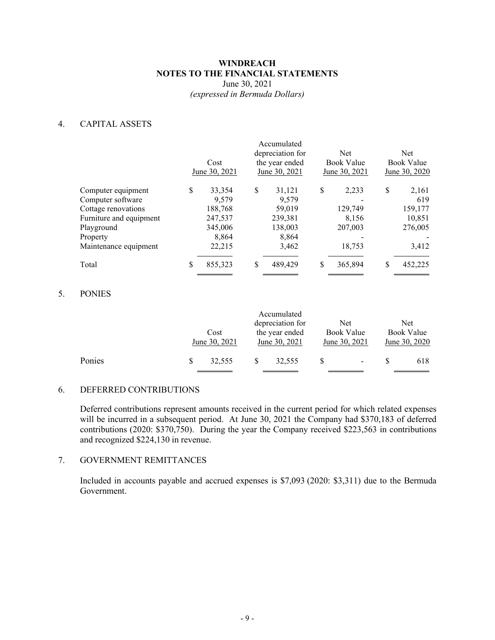# **WINDREACH NOTES TO THE FINANCIAL STATEMENTS** June 30, 2021

# *(expressed in Bermuda Dollars)*

# 4. CAPITAL ASSETS

|                         |   | Cost<br>June 30, 2021 | Accumulated<br>depreciation for<br>the year ended<br>June 30, 2021 | <b>Net</b><br>Book Value<br>June 30, 2021 |   | Net<br>Book Value<br>June 30, 2020 |
|-------------------------|---|-----------------------|--------------------------------------------------------------------|-------------------------------------------|---|------------------------------------|
| Computer equipment      | S | 33,354                | \$<br>31,121                                                       | \$<br>2,233                               | S | 2,161                              |
| Computer software       |   | 9.579                 | 9.579                                                              |                                           |   | 619                                |
| Cottage renovations     |   | 188,768               | 59,019                                                             | 129,749                                   |   | 159,177                            |
| Furniture and equipment |   | 247,537               | 239,381                                                            | 8,156                                     |   | 10,851                             |
| Playground              |   | 345,006               | 138,003                                                            | 207,003                                   |   | 276,005                            |
| Property                |   | 8,864                 | 8,864                                                              |                                           |   |                                    |
| Maintenance equipment   |   | 22,215                | 3,462                                                              | 18,753                                    |   | 3,412                              |
| Total                   | S | 855,323               | \$<br>489,429                                                      | \$<br>365,894                             | S | 452,225                            |

# 5. PONIES

|        | Cost<br>June 30, 2021 |  | Accumulated<br>depreciation for<br>the year ended<br>June 30, 2021 |  | <b>Net</b><br>Book Value<br>June 30, 2021 |  | <b>Net</b><br>Book Value<br>June 30, 2020 |  |
|--------|-----------------------|--|--------------------------------------------------------------------|--|-------------------------------------------|--|-------------------------------------------|--|
| Ponies | 32.555                |  | 32.555                                                             |  | $\overline{\phantom{0}}$                  |  | 618                                       |  |

# 6. DEFERRED CONTRIBUTIONS

Deferred contributions represent amounts received in the current period for which related expenses will be incurred in a subsequent period. At June 30, 2021 the Company had \$370,183 of deferred contributions (2020: \$370,750). During the year the Company received \$223,563 in contributions and recognized \$224,130 in revenue.

# 7. GOVERNMENT REMITTANCES

Included in accounts payable and accrued expenses is \$7,093 (2020: \$3,311) due to the Bermuda Government.